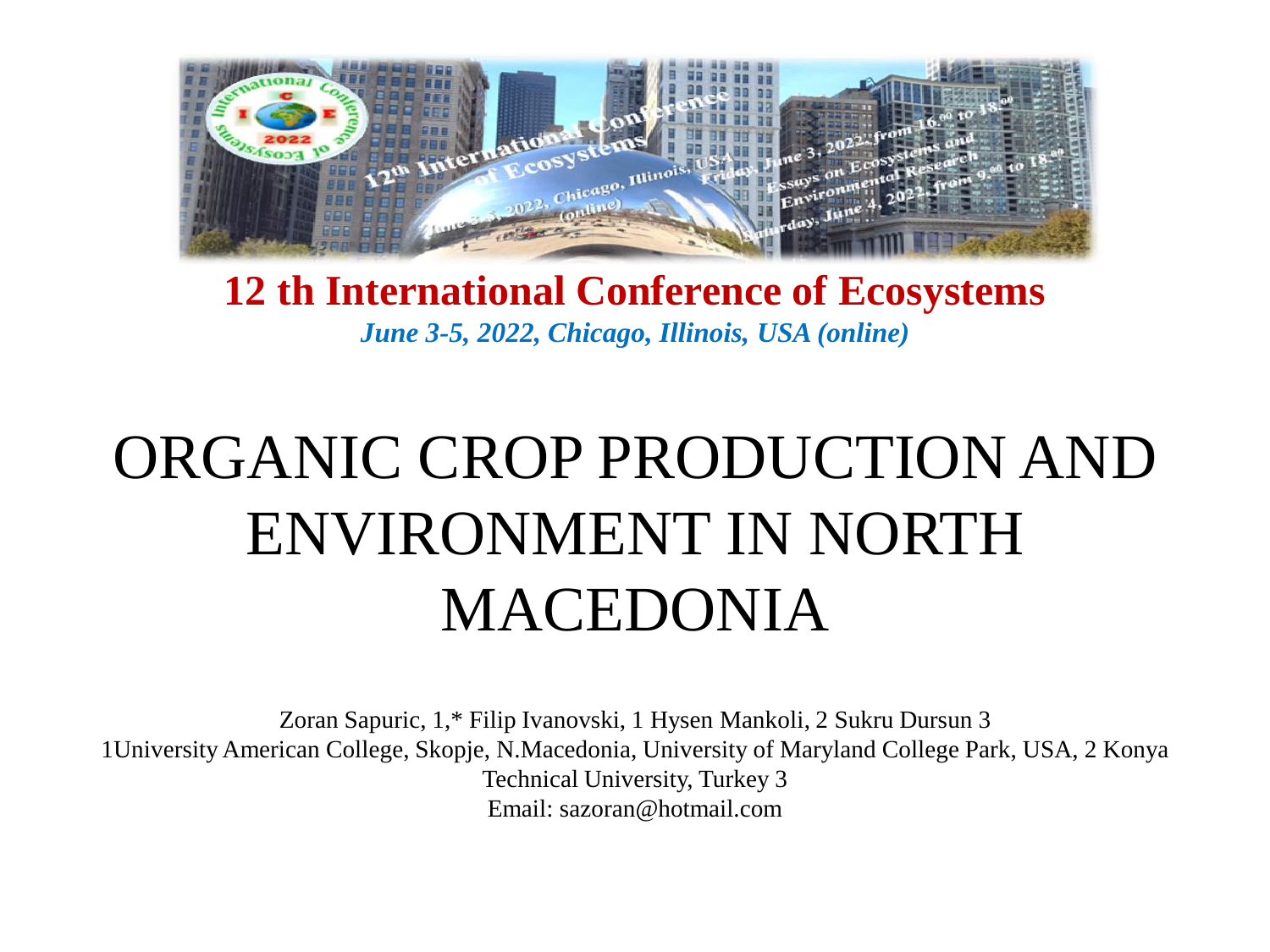

### **12 th International Conference of Ecosystems**  *June 3-5, 2022, Chicago, Illinois, USA (online)*

# ORGANIC CROP PRODUCTION AND ENVIRONMENT IN NORTH MACEDONIA

Zoran Sapuric, 1,\* Filip Ivanovski, 1 Hysen Mankoli, 2 Sukru Dursun 3 1University American College, Skopje, N.Macedonia, University of Maryland College Park, USA, 2 Konya Technical University, Turkey 3 Email: sazoran@hotmail.com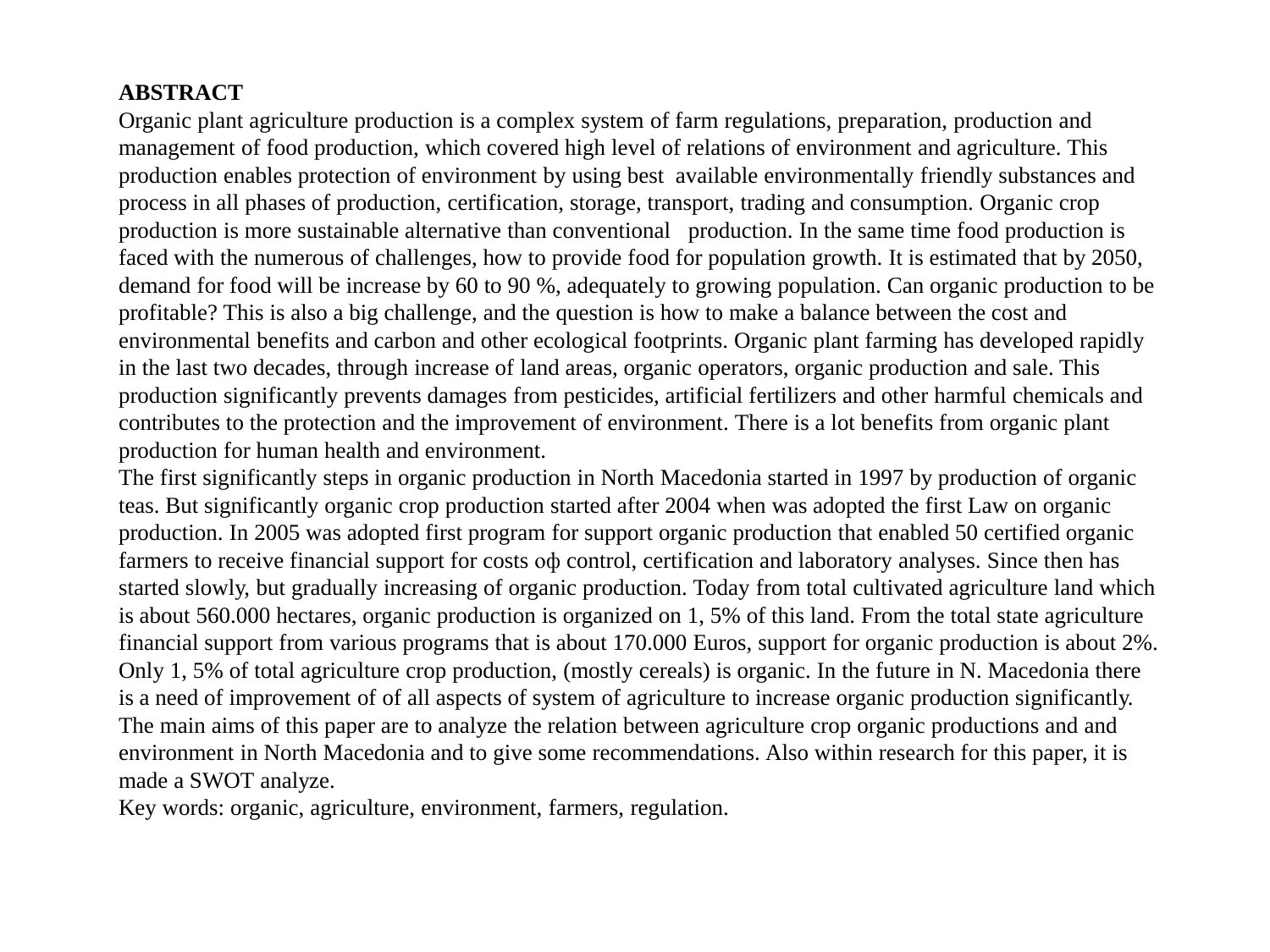#### **ABSTRACT**

Organic plant agriculture production is a complex system of farm regulations, preparation, production and management of food production, which covered high level of relations of environment and agriculture. This production enables protection of environment by using best available environmentally friendly substances and process in all phases of production, certification, storage, transport, trading and consumption. Organic crop production is more sustainable alternative than conventional production. In the same time food production is faced with the numerous of challenges, how to provide food for population growth. It is estimated that by 2050, demand for food will be increase by 60 to 90 %, adequately to growing population. Can organic production to be profitable? This is also a big challenge, and the question is how to make a balance between the cost and environmental benefits and carbon and other ecological footprints. Organic plant farming has developed rapidly in the last two decades, through increase of land areas, organic operators, organic production and sale. This production significantly prevents damages from pesticides, artificial fertilizers and other harmful chemicals and contributes to the protection and the improvement of environment. There is a lot benefits from organic plant production for human health and environment.

The first significantly steps in organic production in North Macedonia started in 1997 by production of organic teas. But significantly organic crop production started after 2004 when was adopted the first Law on organic production. In 2005 was adopted first program for support organic production that enabled 50 certified organic farmers to receive financial support for costs оф control, certification and laboratory analyses. Since then has started slowly, but gradually increasing of organic production. Today from total cultivated agriculture land which is about 560.000 hectares, organic production is organized on 1, 5% of this land. From the total state agriculture financial support from various programs that is about 170.000 Euros, support for organic production is about 2%. Only 1, 5% of total agriculture crop production, (mostly cereals) is organic. In the future in N. Macedonia there is a need of improvement of of all aspects of system of agriculture to increase organic production significantly. The main aims of this paper are to analyze the relation between agriculture crop organic productions and and environment in North Macedonia and to give some recommendations. Also within research for this paper, it is made a SWOT analyze.

Key words: organic, agriculture, environment, farmers, regulation.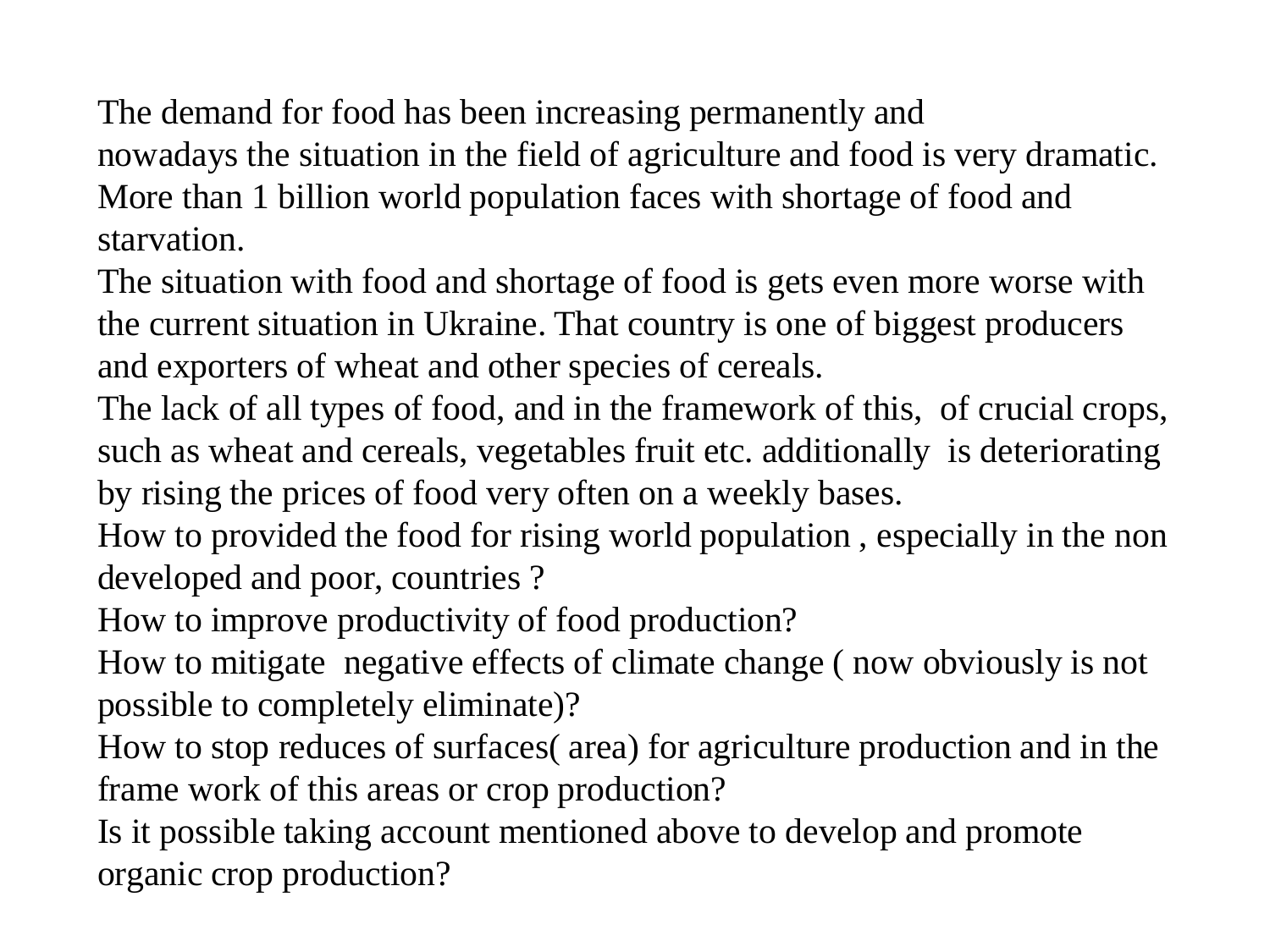The demand for food has been increasing permanently and nowadays the situation in the field of agriculture and food is very dramatic. More than 1 billion world population faces with shortage of food and starvation.

The situation with food and shortage of food is gets even more worse with the current situation in Ukraine. That country is one of biggest producers and exporters of wheat and other species of cereals.

The lack of all types of food, and in the framework of this, of crucial crops, such as wheat and cereals, vegetables fruit etc. additionally is deteriorating by rising the prices of food very often on a weekly bases.

How to provided the food for rising world population , especially in the non developed and poor, countries ?

How to improve productivity of food production?

How to mitigate negative effects of climate change ( now obviously is not possible to completely eliminate)?

How to stop reduces of surfaces( area) for agriculture production and in the frame work of this areas or crop production?

Is it possible taking account mentioned above to develop and promote organic crop production?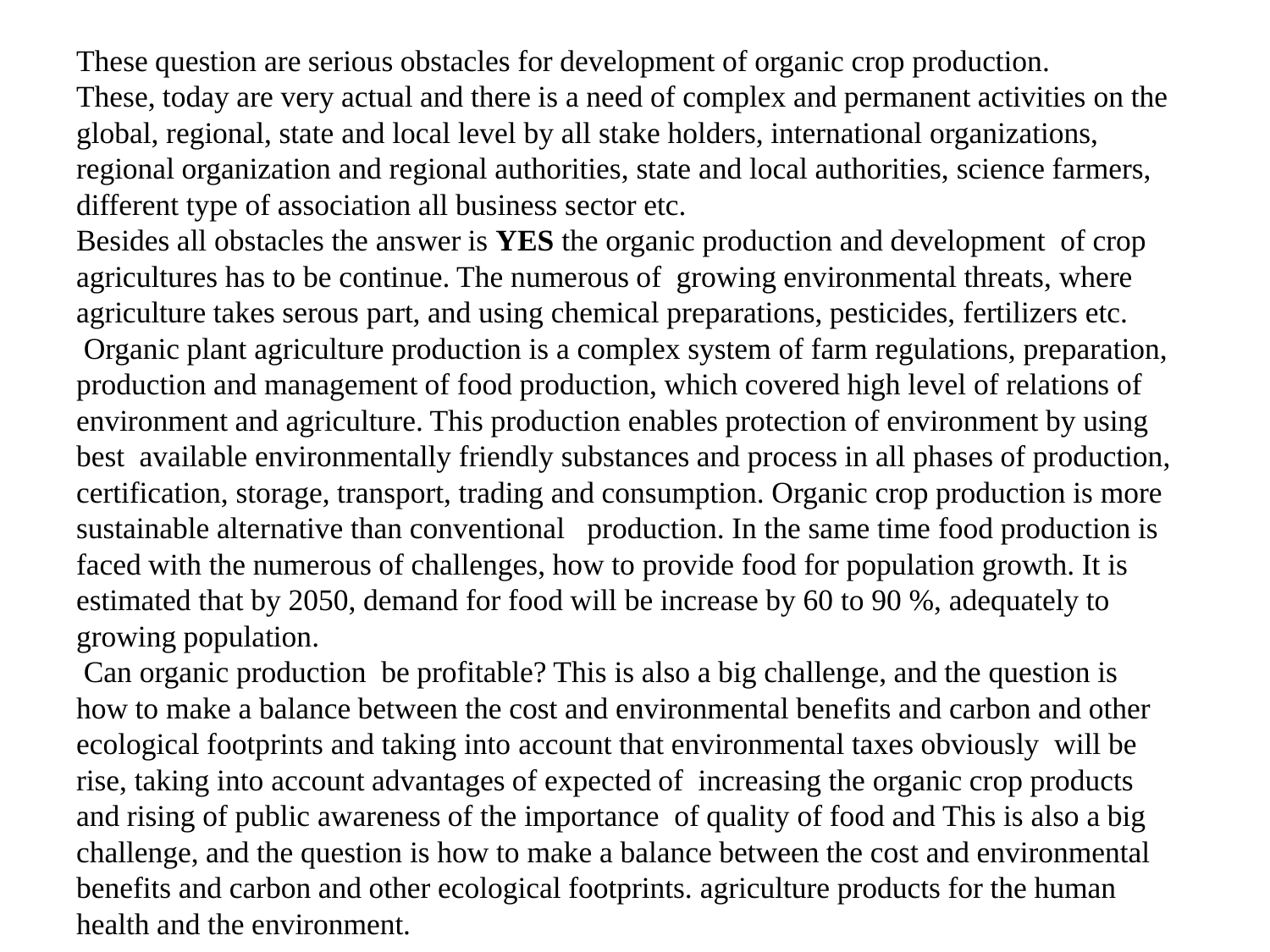These question are serious obstacles for development of organic crop production. These, today are very actual and there is a need of complex and permanent activities on the global, regional, state and local level by all stake holders, international organizations, regional organization and regional authorities, state and local authorities, science farmers, different type of association all business sector etc.

Besides all obstacles the answer is **YES** the organic production and development of crop agricultures has to be continue. The numerous of growing environmental threats, where agriculture takes serous part, and using chemical prepаrations, pesticides, fertilizers etc. Organic plant agriculture production is a complex system of farm regulations, preparation, production and management of food production, which covered high level of relations of environment and agriculture. This production enables protection of environment by using best available environmentally friendly substances and process in all phases of production, certification, storage, transport, trading and consumption. Organic crop production is more sustainable alternative than conventional production. In the same time food production is faced with the numerous of challenges, how to provide food for population growth. It is estimated that by 2050, demand for food will be increase by 60 to 90 %, adequately to growing population.

Can organic production be profitable? This is also a big challenge, and the question is how to make a balance between the cost and environmental benefits and carbon and other ecological footprints and taking into account that environmental taxes obviously will be rise, taking into account advantages of expected of increasing the organic crop products and rising of public awareness of the importance of quality of food and This is also a big challenge, and the question is how to make a balance between the cost and environmental benefits and carbon and other ecological footprints. agriculture products for the human health and the environment.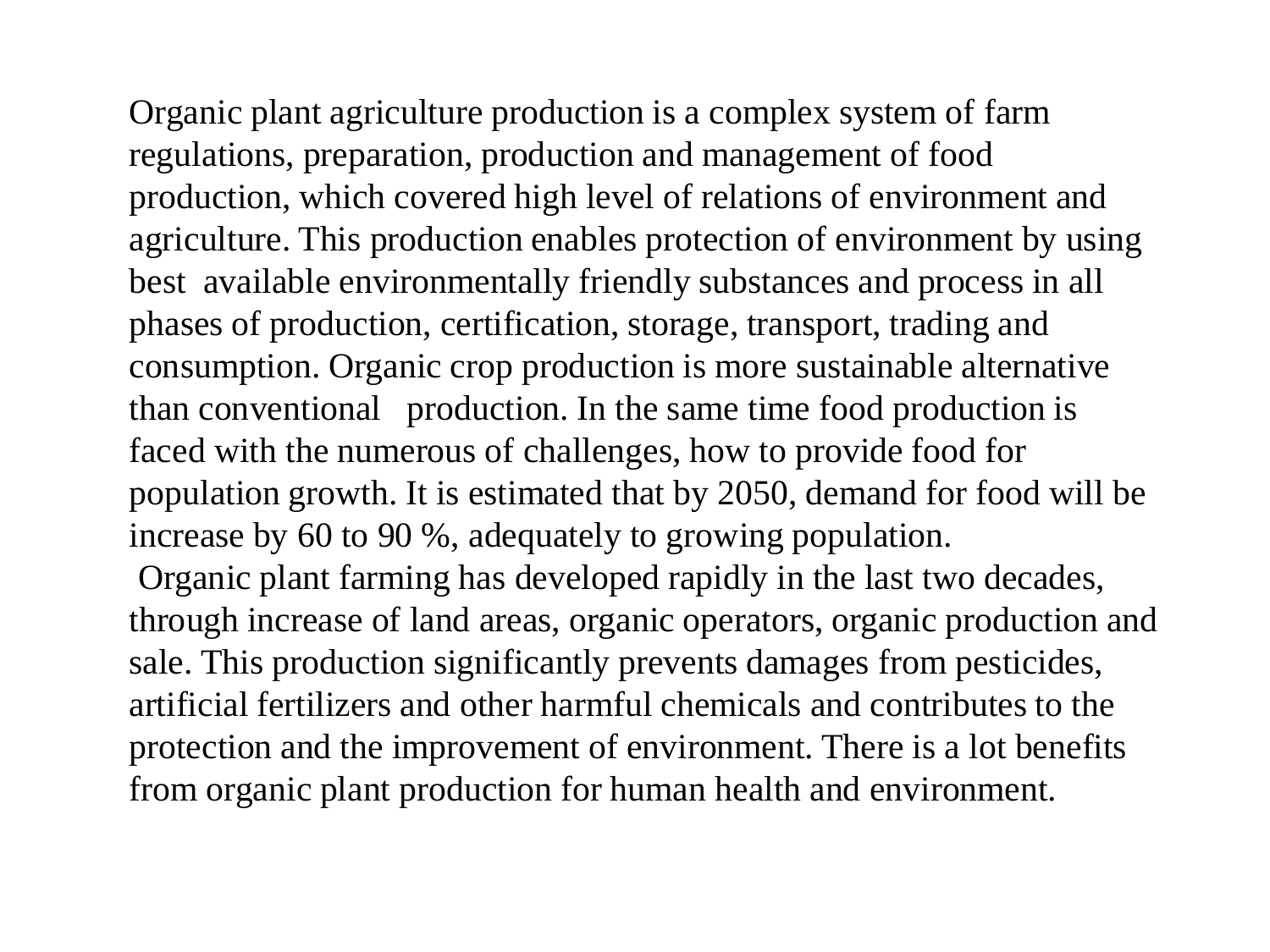Organic plant agriculture production is a complex system of farm regulations, preparation, production and management of food production, which covered high level of relations of environment and agriculture. This production enables protection of environment by using best available environmentally friendly substances and process in all phases of production, certification, storage, transport, trading and consumption. Organic crop production is more sustainable alternative than conventional production. In the same time food production is faced with the numerous of challenges, how to provide food for population growth. It is estimated that by 2050, demand for food will be increase by 60 to 90 %, adequately to growing population. Organic plant farming has developed rapidly in the last two decades, through increase of land areas, organic operators, organic production and sale. This production significantly prevents damages from pesticides, artificial fertilizers and other harmful chemicals and contributes to the protection and the improvement of environment. There is a lot benefits from organic plant production for human health and environment.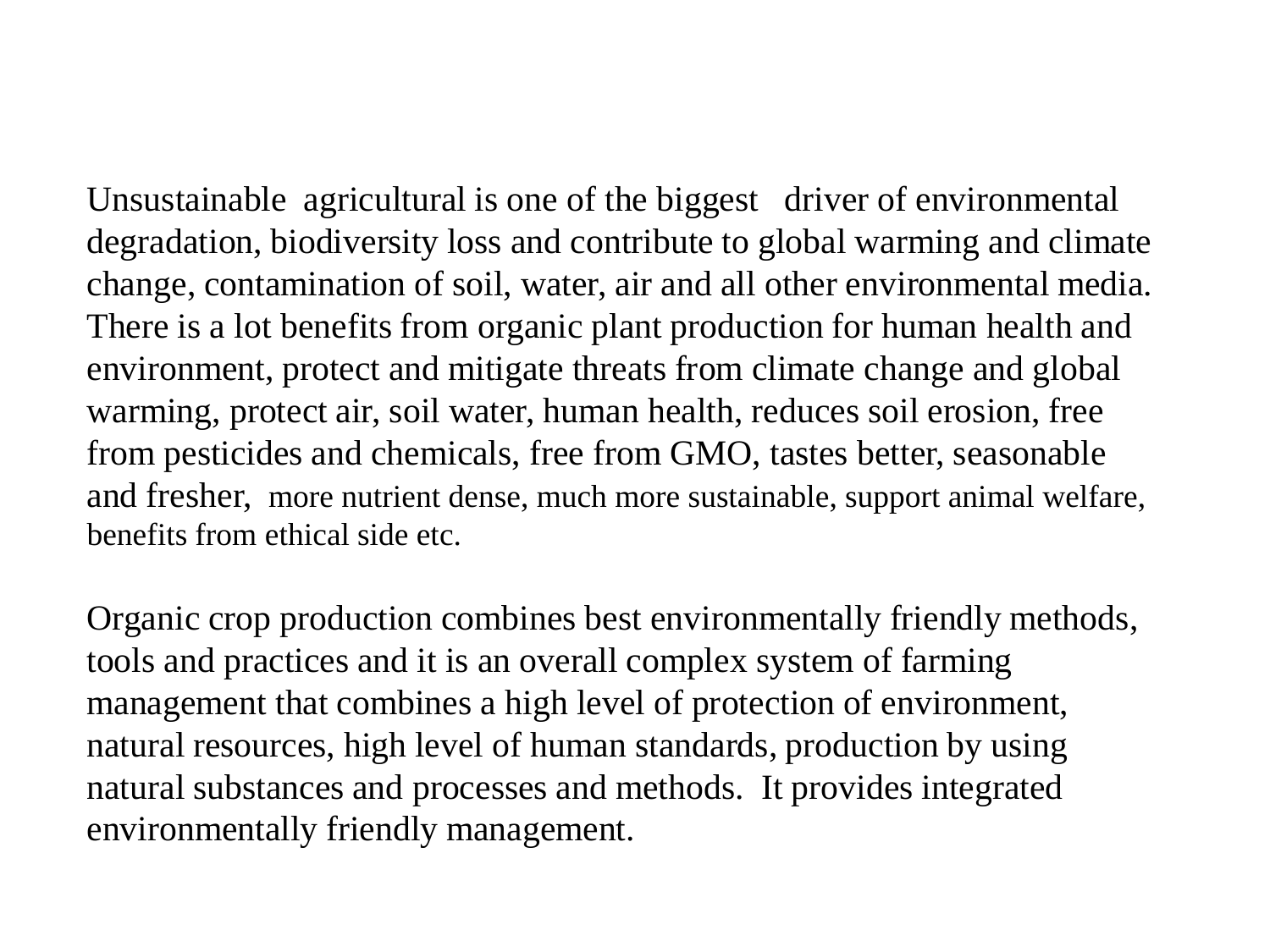Unsustainable agricultural is one of the biggest driver of environmental degradation, biodiversity loss and contribute to global warming and climate change, contamination of soil, water, air and all other environmental media. There is a lot benefits from organic plant production for human health and environment, protect and mitigate threats from climate change and global warming, protect air, soil water, human health, reduces soil erosion, free from pesticides and chemicals, free from GMO, tastes better, seasonable and fresher, more nutrient dense, much more sustainable, support animal welfare, benefits from ethical side etc.

Organic crop production combines best environmentally friendly methods, tools and practices and it is an overall complex system of farming management that combines a high level of protection of environment, natural resources, high level of human standards, production by using natural substances and processes and methods. It provides integrated environmentally friendly management.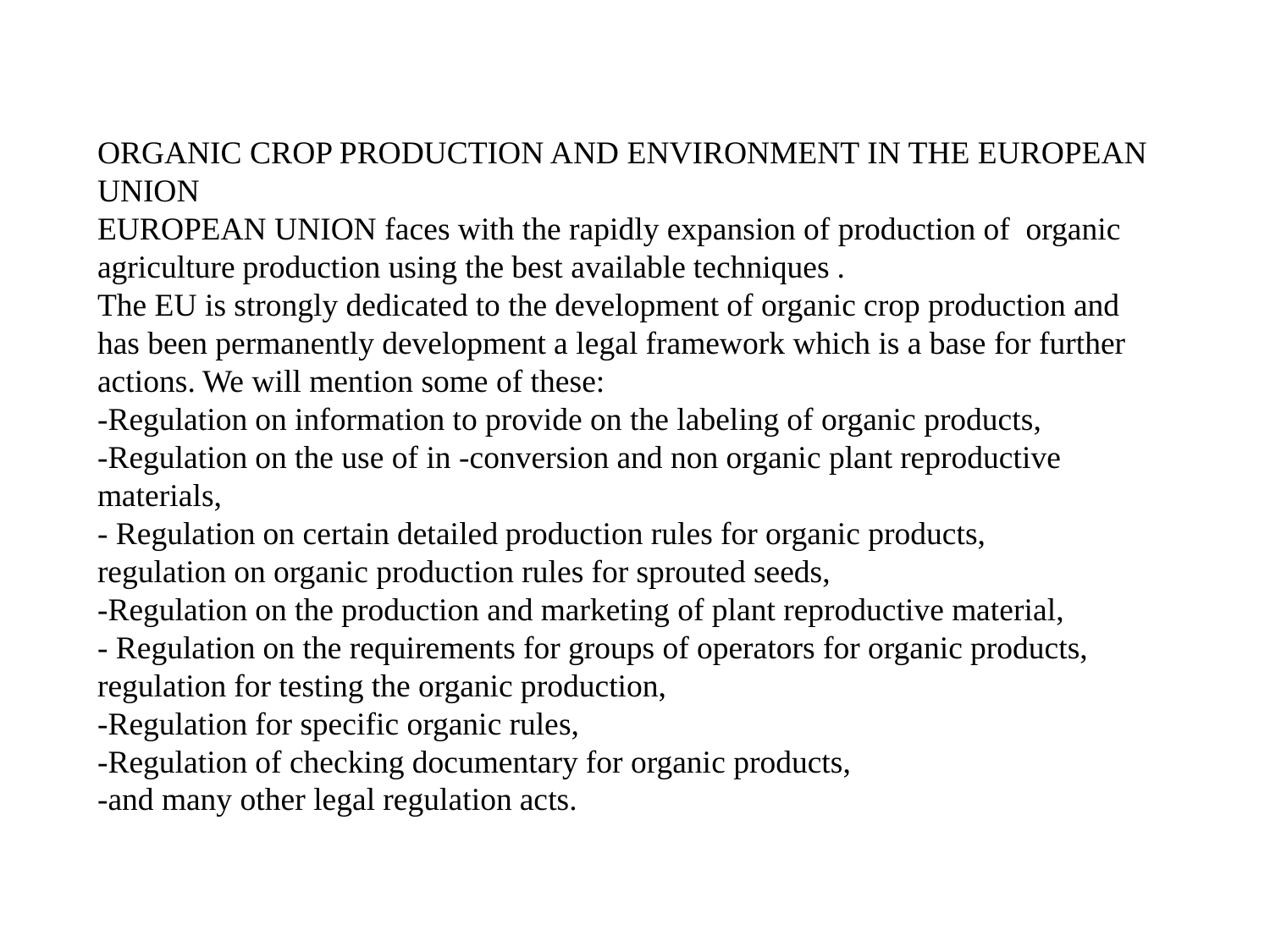## ORGANIC CROP PRODUCTION AND ENVIRONMENT IN THE EUROPEAN UNION

EUROPEAN UNION faces with the rapidly expansion of production of organic agriculture production using the best available techniques .

The EU is strongly dedicated to the development of organic crop production and has been permanently development a legal framework which is a base for further actions. We will mention some of these:

-Regulation on information to provide on the labeling of organic products, -Regulation on the use of in -conversion and non organic plant reproductive materials,

- Regulation on certain detailed production rules for organic products, regulation on organic production rules for sprouted seeds,

-Regulation on the production and marketing of plant reproductive material,

- Regulation on the requirements for groups of operators for organic products, regulation for testing the organic production,

-Regulation for specific organic rules,

-Regulation of checking documentary for organic products,

-and many other legal regulation acts.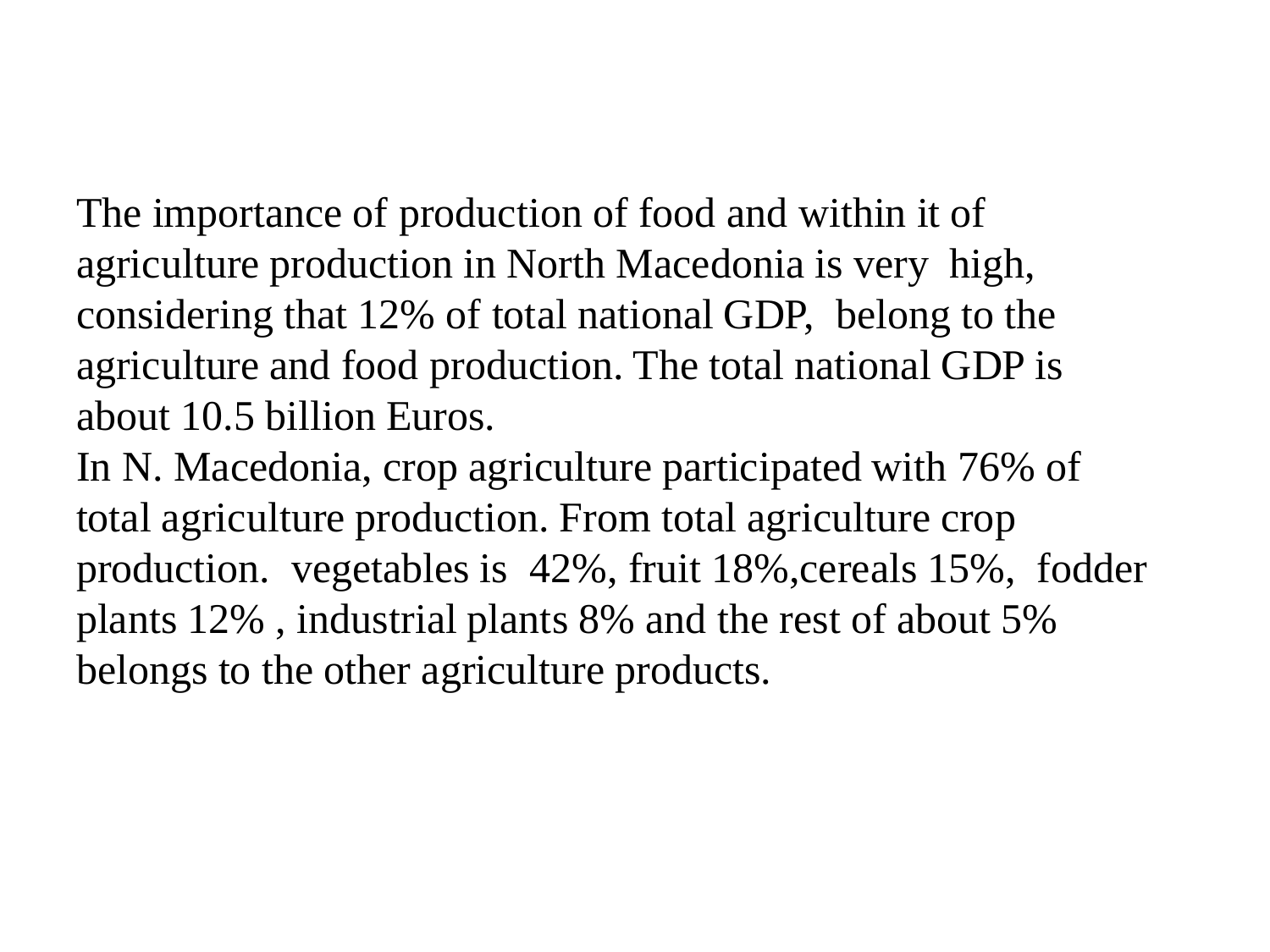The importance of production of food and within it of agriculture production in North Macedonia is very high, considering that 12% of total national GDP, belong to the agriculture and food production. The total national GDP is about 10.5 billion Euros.

In N. Macedonia, crop agriculture participated with 76% of total agriculture production. From total agriculture crop production. vegetables is 42%, fruit 18%,cereals 15%, fodder plants 12% , industrial plants 8% and the rest of about 5% belongs to the other agriculture products.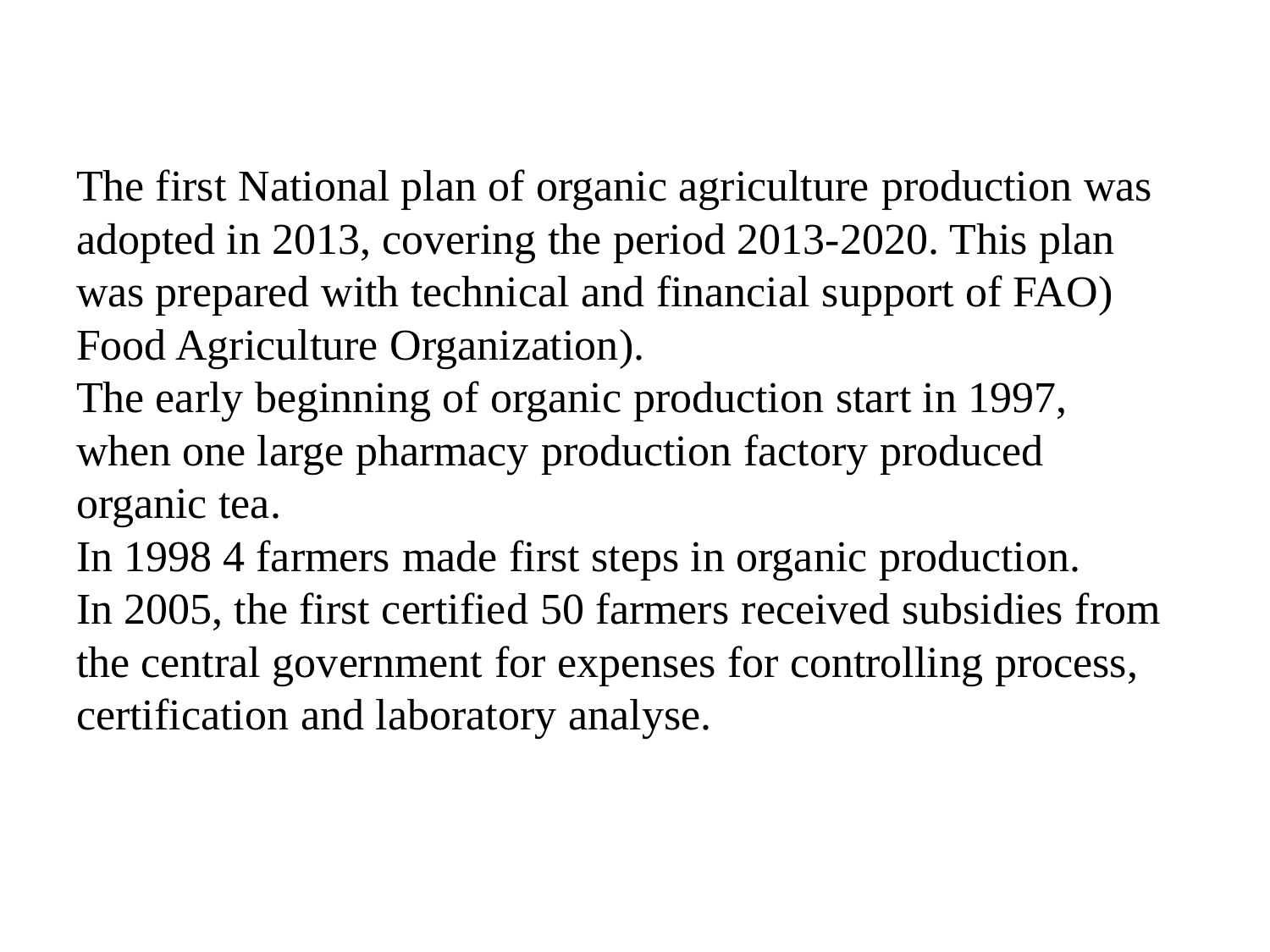The first National plan of organic agriculture production was adopted in 2013, covering the period 2013-2020. This plan was prepared with technical and financial support of FAO) Food Agriculture Organization).

The early beginning of organic production start in 1997, when one large pharmacy production factory produced organic tea.

In 1998 4 farmers made first steps in organic production. In 2005, the first certified 50 farmers received subsidies from the central government for expenses for controlling process, certification and laboratory analyse.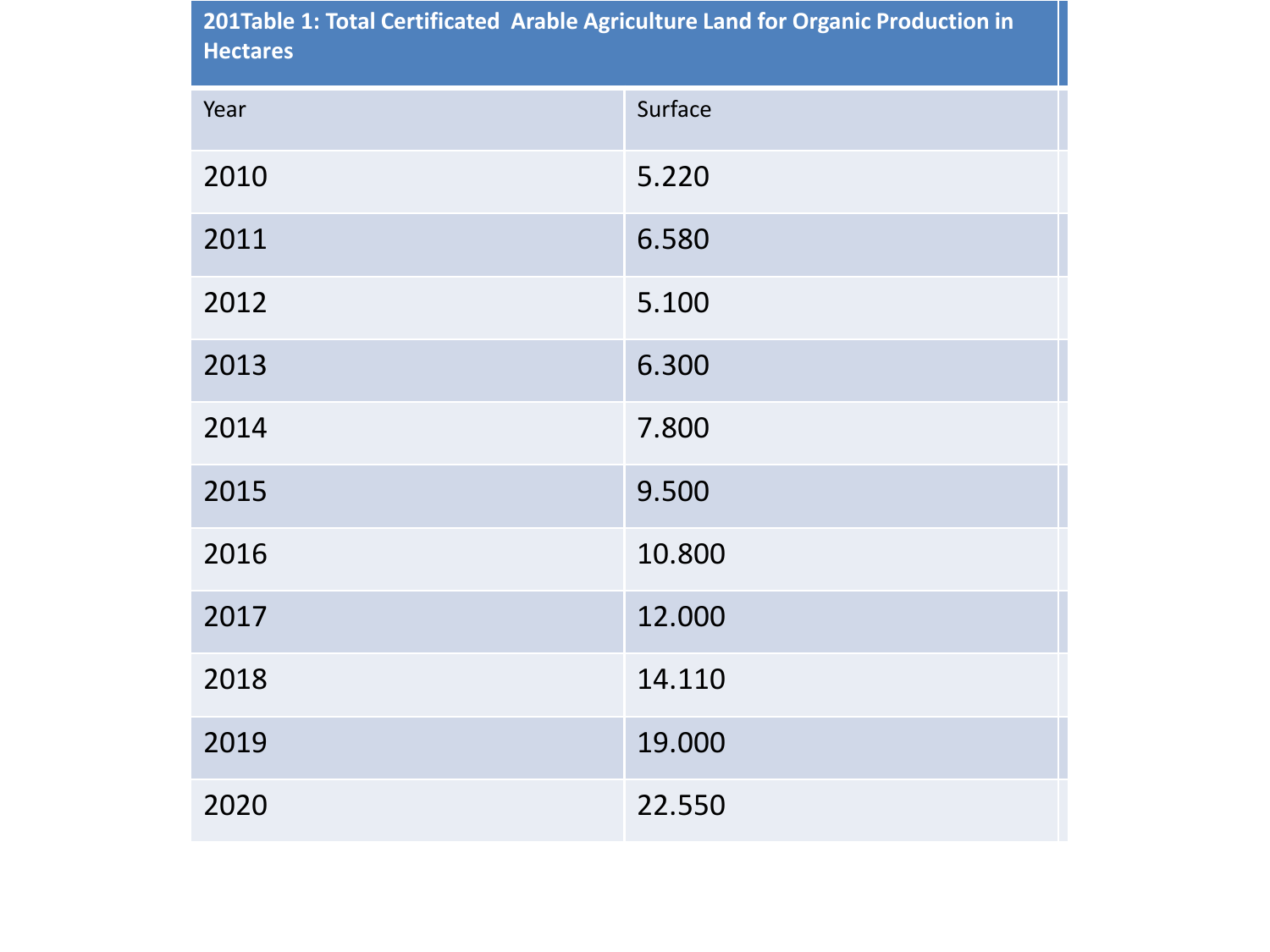| 201Table 1: Total Certificated Arable Agriculture Land for Organic Production in<br><b>Hectares</b> |         |  |
|-----------------------------------------------------------------------------------------------------|---------|--|
| Year                                                                                                | Surface |  |
| 2010                                                                                                | 5.220   |  |
| 2011                                                                                                | 6.580   |  |
| 2012                                                                                                | 5.100   |  |
| 2013                                                                                                | 6.300   |  |
| 2014                                                                                                | 7.800   |  |
| 2015                                                                                                | 9.500   |  |
| 2016                                                                                                | 10.800  |  |
| 2017                                                                                                | 12.000  |  |
| 2018                                                                                                | 14.110  |  |
| 2019                                                                                                | 19.000  |  |
| 2020                                                                                                | 22.550  |  |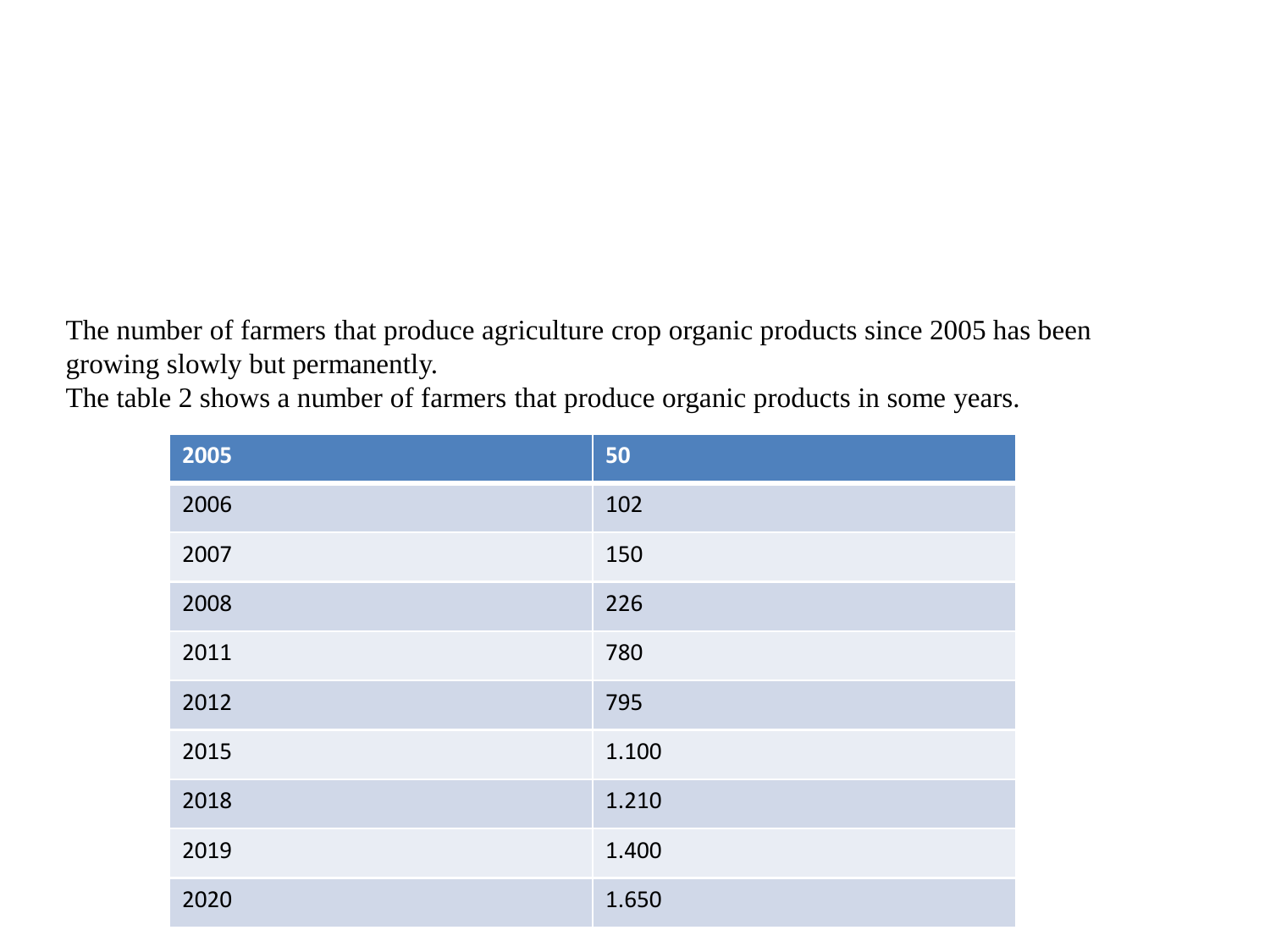The number of farmers that produce agriculture crop organic products since 2005 has been growing slowly but permanently.

The table 2 shows a number of farmers that produce organic products in some years.

| 2005 | 50    |
|------|-------|
| 2006 | 102   |
| 2007 | 150   |
| 2008 | 226   |
| 2011 | 780   |
| 2012 | 795   |
| 2015 | 1.100 |
| 2018 | 1.210 |
| 2019 | 1.400 |
| 2020 | 1.650 |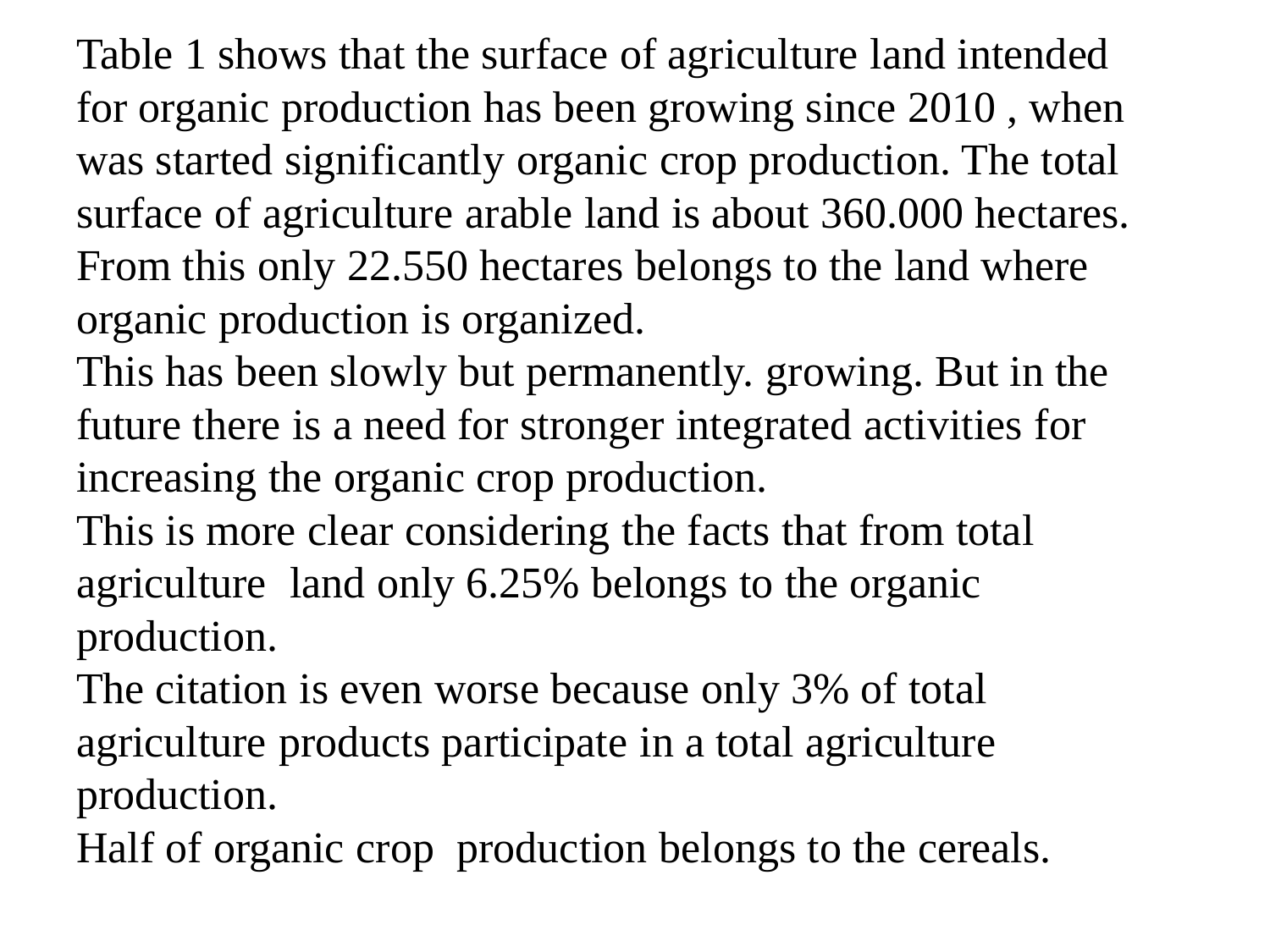Table 1 shows that the surface of agriculture land intended for organic production has been growing since 2010 , when was started significantly organic crop production. The total surface of agriculture arable land is about 360.000 hectares. From this only 22.550 hectares belongs to the land where organic production is organized.

This has been slowly but permanently. growing. But in the future there is a need for stronger integrated activities for increasing the organic crop production.

This is more clear considering the facts that from total agriculture land only 6.25% belongs to the organic production.

The citation is even worse because only 3% of total agriculture products participate in a total agriculture production.

Half of organic crop production belongs to the cereals.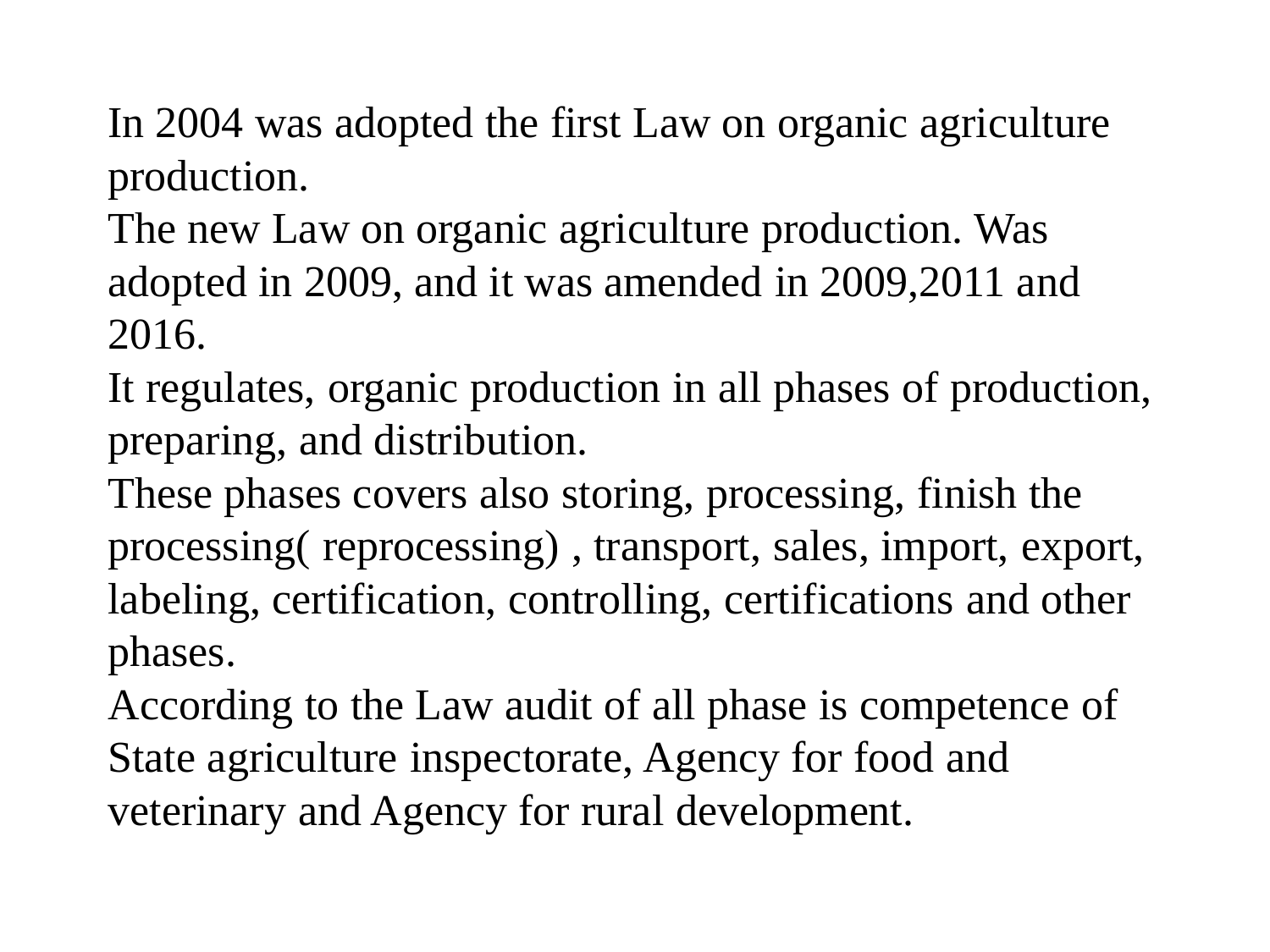In 2004 was adopted the first Law on organic agriculture production.

The new Law on organic agriculture production. Was adopted in 2009, and it was amended in 2009,2011 and 2016.

It regulates, organic production in all phases of production, preparing, and distribution.

These phases covers also storing, processing, finish the processing( reprocessing) , transport, sales, import, export, labeling, certification, controlling, certifications and other phases.

According to the Law audit of all phase is competence of State agriculture inspectorate, Agency for food and veterinary and Agency for rural development.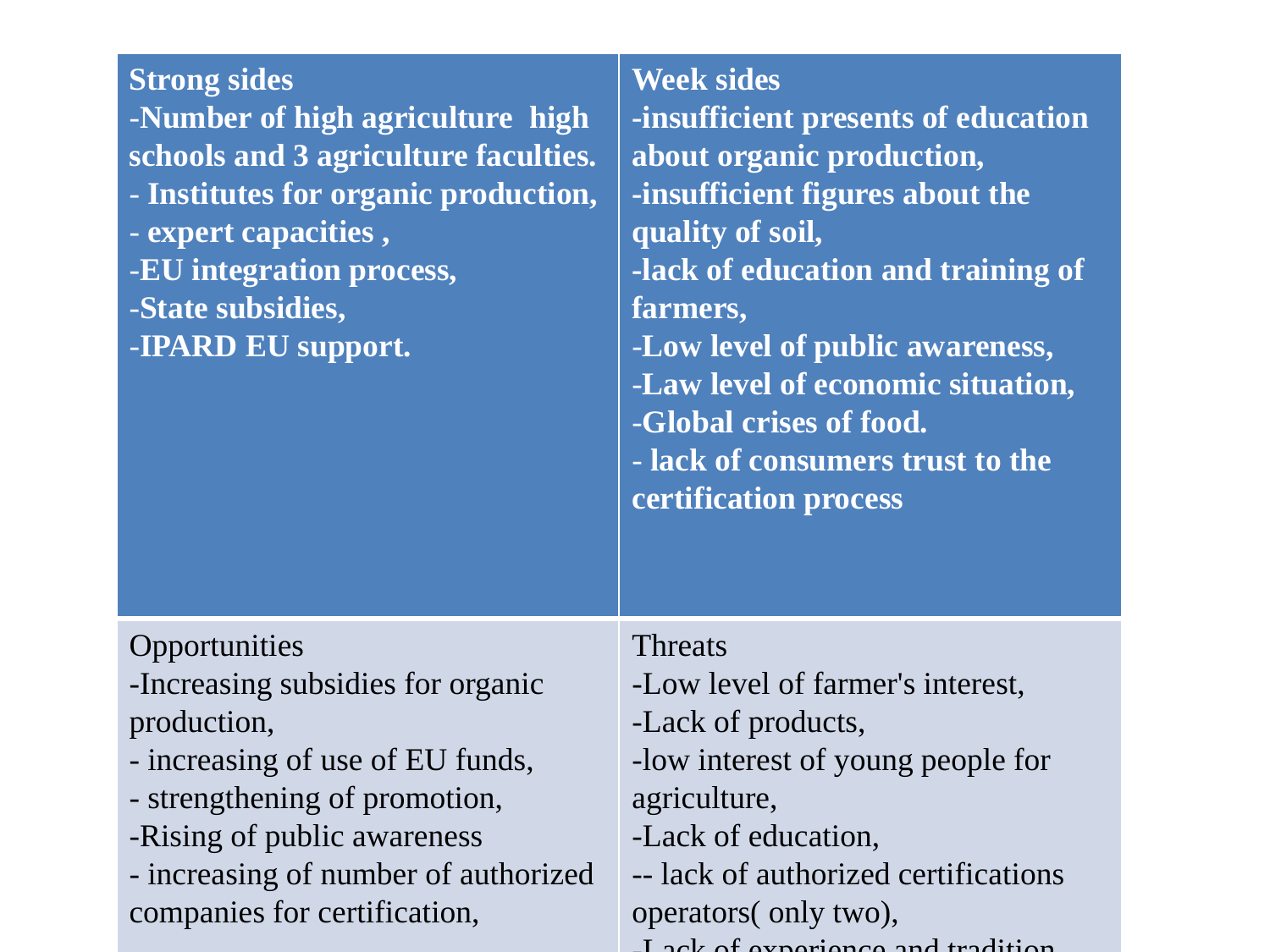| <b>Strong sides</b><br>-Number of high agriculture high<br>schools and 3 agriculture faculties.<br>- Institutes for organic production,<br>- expert capacities,<br>-EU integration process,<br>-State subsidies,<br>-IPARD EU support.        | <b>Week sides</b><br>-insufficient presents of education<br>about organic production,<br>-insufficient figures about the<br>quality of soil,<br>-lack of education and training of<br>farmers,<br>-Low level of public awareness,<br>-Law level of economic situation,<br>-Global crises of food.<br>- lack of consumers trust to the<br>certification process |
|-----------------------------------------------------------------------------------------------------------------------------------------------------------------------------------------------------------------------------------------------|----------------------------------------------------------------------------------------------------------------------------------------------------------------------------------------------------------------------------------------------------------------------------------------------------------------------------------------------------------------|
| Opportunities<br>-Increasing subsidies for organic<br>production,<br>- increasing of use of EU funds,<br>- strengthening of promotion,<br>-Rising of public awareness<br>- increasing of number of authorized<br>companies for certification, | <b>Threats</b><br>-Low level of farmer's interest,<br>-Lack of products,<br>-low interest of young people for<br>agriculture,<br>-Lack of education,<br>-- lack of authorized certifications<br>operators( only two),<br>Look of overwance and tradition                                                                                                       |